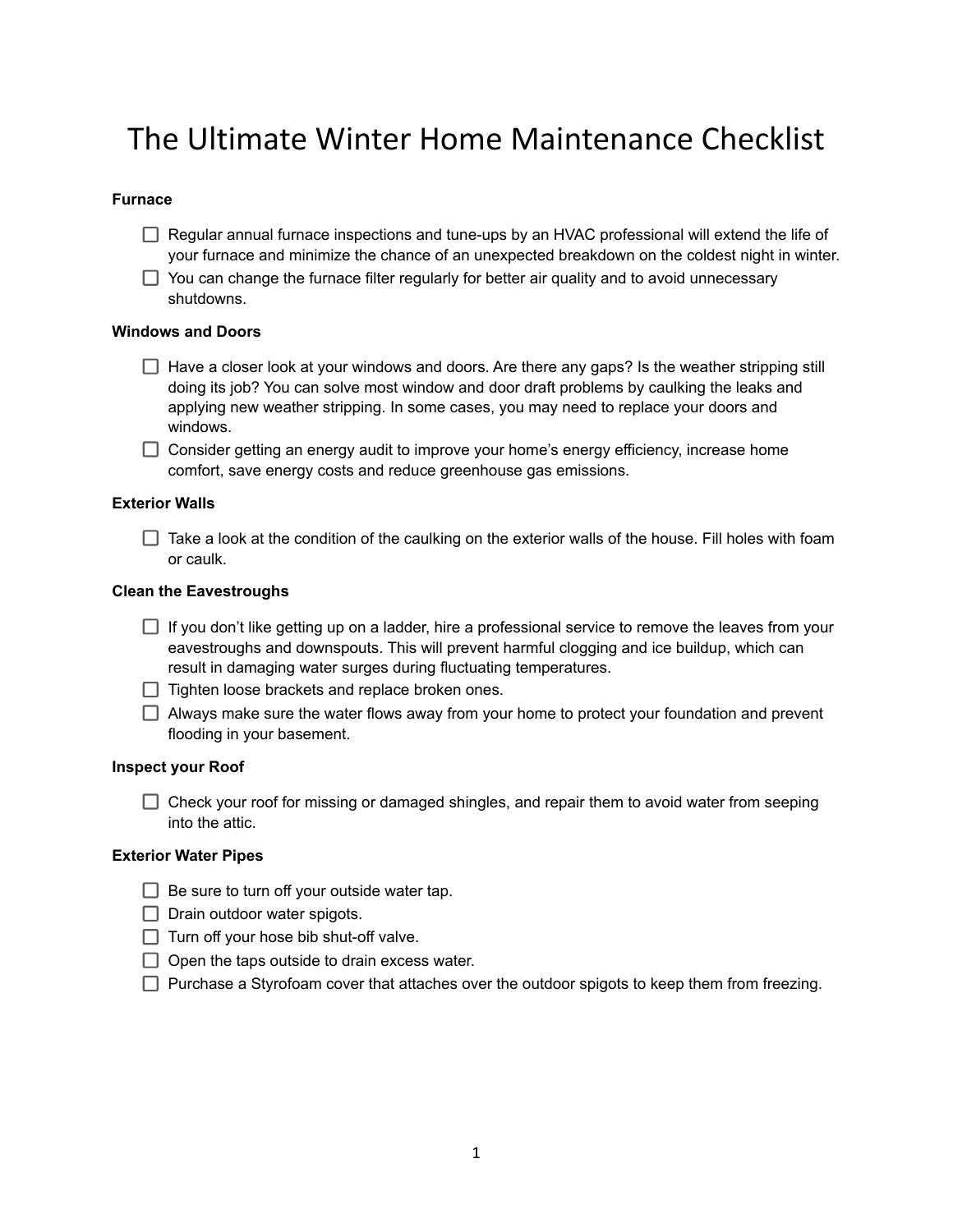# The Ultimate Winter Home Maintenance Checklist

## **Furnace**

- $\Box$  Regular annual furnace inspections and tune-ups by an HVAC professional will extend the life of your furnace and minimize the chance of an unexpected breakdown on the coldest night in winter.
- $\Box$  You can change the furnace filter regularly for better air quality and to avoid unnecessary shutdowns.

#### **Windows and Doors**

- $\Box$  Have a closer look at your windows and doors. Are there any gaps? Is the weather stripping still doing its job? You can solve most window and door draft problems by caulking the leaks and applying new weather stripping. In some cases, you may need to replace your doors and windows.
- $\Box$  Consider getting an energy audit to improve your home's energy efficiency, increase home comfort, save energy costs and reduce greenhouse gas emissions.

## **Exterior Walls**

 $\Box$  Take a look at the condition of the caulking on the exterior walls of the house. Fill holes with foam or caulk.

## **Clean the Eavestroughs**

- $\Box$  If you don't like getting up on a ladder, hire a professional service to remove the leaves from your eavestroughs and downspouts. This will prevent harmful clogging and ice buildup, which can result in damaging water surges during fluctuating temperatures.
- $\Box$  Tighten loose brackets and replace broken ones.
- $\Box$  Always make sure the water flows away from your home to protect your foundation and prevent flooding in your basement.

#### **Inspect your Roof**

 $\Box$  Check your roof for missing or damaged shingles, and repair them to avoid water from seeping into the attic.

## **Exterior Water Pipes**

- $\Box$  Be sure to turn off your outside water tap.
- $\Box$  Drain outdoor water spigots.
- $\Box$  Turn off your hose bib shut-off valve.
- $\Box$  Open the taps outside to drain excess water.
- $\Box$  Purchase a Styrofoam cover that attaches over the outdoor spigots to keep them from freezing.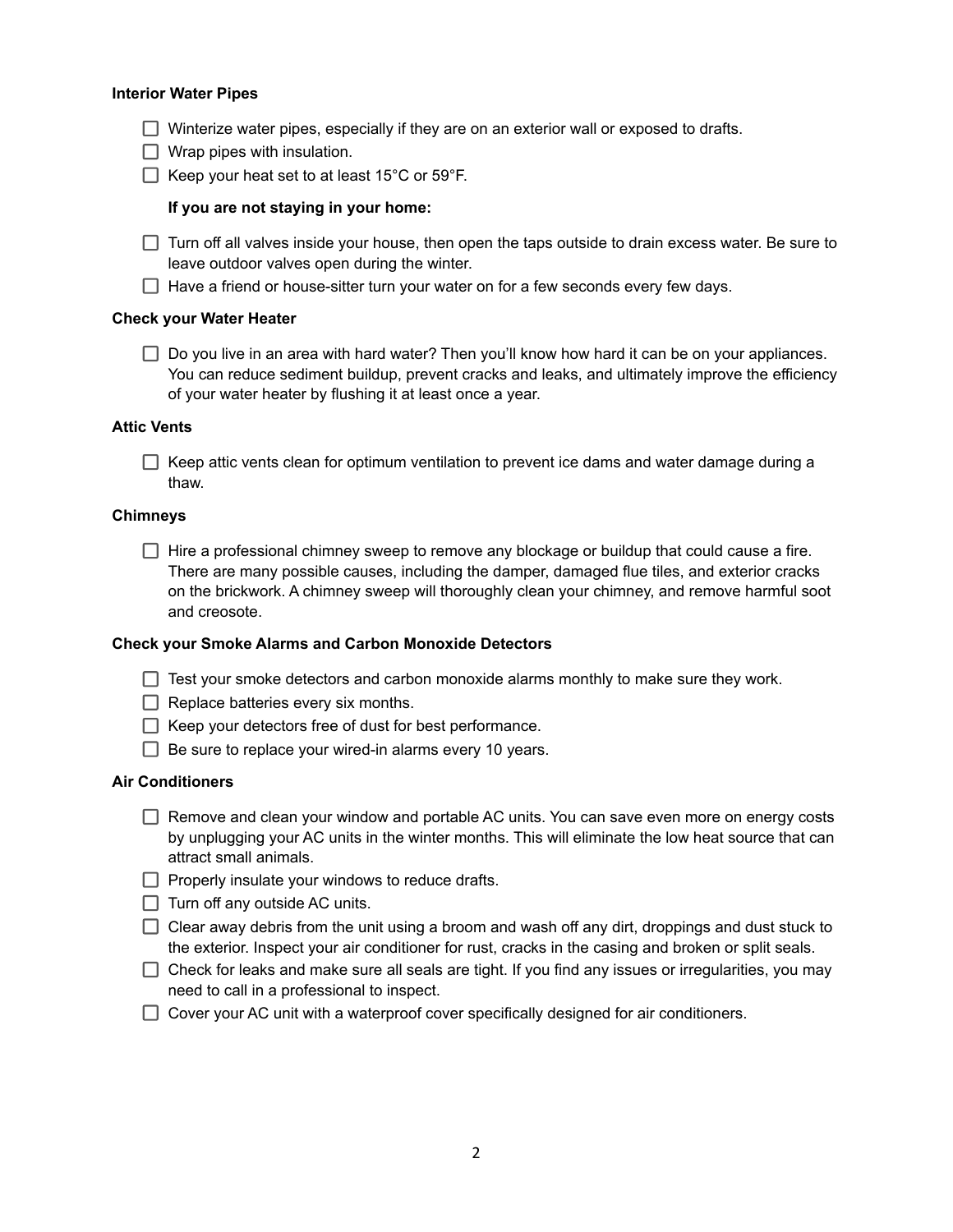#### **Interior Water Pipes**

- $\Box$  Winterize water pipes, especially if they are on an exterior wall or exposed to drafts.
- $\Box$  Wrap pipes with insulation.
- $\Box$  Keep your heat set to at least 15°C or 59°F.

### **If you are not staying in your home:**

 $\Box$  Turn off all valves inside your house, then open the taps outside to drain excess water. Be sure to leave outdoor valves open during the winter.

 $\Box$  Have a friend or house-sitter turn your water on for a few seconds every few days.

#### **Check your Water Heater**

 $\Box$  Do you live in an area with hard water? Then you'll know how hard it can be on your appliances. You can reduce sediment buildup, prevent cracks and leaks, and ultimately improve the efficiency of your water heater by flushing it at least once a year.

## **Attic Vents**

 $\Box$  Keep attic vents clean for optimum ventilation to prevent ice dams and water damage during a thaw.

#### **Chimneys**

 $\Box$  Hire a professional chimney sweep to remove any blockage or buildup that could cause a fire. There are many possible causes, including the damper, damaged flue tiles, and exterior cracks on the brickwork. A chimney sweep will thoroughly clean your chimney, and remove harmful soot and creosote.

#### **Check your Smoke Alarms and Carbon Monoxide Detectors**

- $\Box$  Test your smoke detectors and carbon monoxide alarms monthly to make sure they work.
- $\Box$  Replace batteries every six months.
- $\Box$  Keep your detectors free of dust for best performance.
- $\Box$  Be sure to replace your wired-in alarms every 10 years.

## **Air Conditioners**

- $\Box$  Remove and clean your window and portable AC units. You can save even more on energy costs by unplugging your AC units in the winter months. This will eliminate the low heat source that can attract small animals.
- $\Box$  Properly insulate your windows to reduce drafts.
- $\Box$  Turn off any outside AC units.
- $\Box$  Clear away debris from the unit using a broom and wash off any dirt, droppings and dust stuck to the exterior. Inspect your air conditioner for rust, cracks in the casing and broken or split seals.
- $\Box$  Check for leaks and make sure all seals are tight. If you find any issues or irregularities, you may need to call in a professional to inspect.
- $\Box$  Cover your AC unit with a waterproof cover specifically designed for air conditioners.